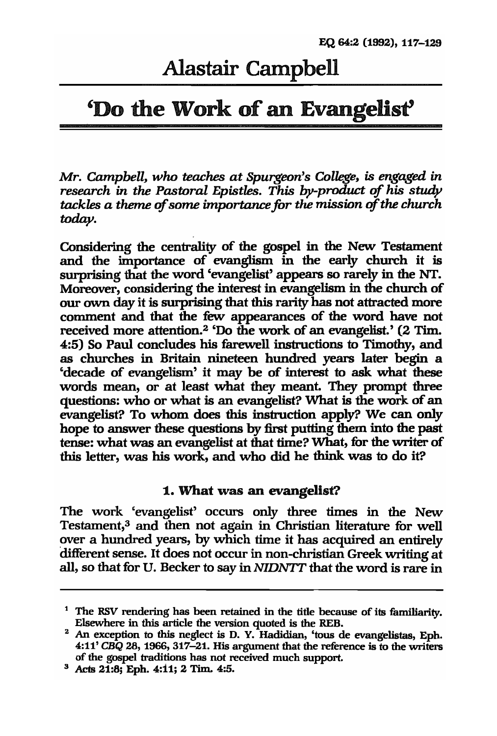# Alastair Campbell

# 'Do the Work of an Evangelist'

*Mr. Campbell, who teaches at Spurgeon's College, is engaged in research in the Pastoral Epistles. This by-product of his study tackles a theme of some importance for the mission of the church today.* 

Considering the centrality of the gospel in the New Testament and the importance of evanglism in the early church it is swprising that the word 'evangelist' appears so rarely in the NT. Moreover, considering the interest in evangelism in the church of our own day it is swprising that this rarity has not attracted more comment and that the few appearances of the word have not received more attention.2 'Do the work of an evangelist.' (2 Tim. 4:5) So Paul concludes his farewell instructions to Timothy, and as churches in Britain nineteen hundred years later begin a 'decade of evangelism' it may be of interest to ask what these words mean, or at least what they meant. They prompt three questions: who or what is an evangelist? What is the work of an evangelist? To whom does this instruction apply? We can only hope to answer these questions by first putting them into the past tense: what was an evangelist at that time? What, for the writer of this letter, was his work, and who did he think was to do it?

#### 1. What was an evangelist?

The work 'evangelist' occurs only three times in the New Testament,<sup>3</sup> and then not again in Christian literature for well over a hundred years, by which time it has acquired an entirely different sense. It does not occur in non-christian Greek writing at all, so that for U. Becker to say in *NIDNI'T* that the word is rare in

<sup>1</sup> The RSV rendering has been retained in the title because of its familiarity. Elsewhere in this article the version quoted is the REB.

 $2$  An exception to this neglect is D. Y. Hadidian, 'tous de evangelistas, Eph. *4:11' CBQ* 28, 1966, 317-21. His argument that the reference is to the writers of the gospel traditions has not received much support.

 $3$  Acts  $21:8$ ; Eph. 4:11; 2 Tim. 4:5.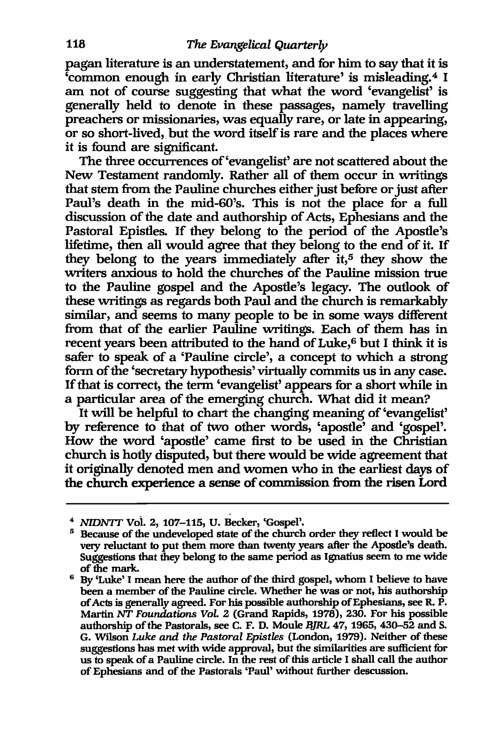pagan literature is an understatement, and for him to say that it is 'common enough in early Christian literature' is misleading.4 I am not of course suggesting that what the word 'evangelist' is generally held to denote in these passages, namely travelling preachers or missionaries, was equally rare, or late in appearing, or so short-lived, but the word itself is rare and the places where it is found are significant.

The three occurrences of 'evangelist' are not scattered about the New Testament randomly. Rather all of them occur in writings that stem from the Pauline churches either just before or just after Paul's death in the mid-60's. This is not the place for a full discussion of the date and authorship of Acts, Ephesians and the Pastoral Epistles. If they belong to the period of the Apostle's lifetime, then all would agree that they belong to the end of it. If they belong to the years immediately after it,<sup>5</sup> they show the writers anxious to hold the churches of the Pauline mission true to the Pauline gospel and the Apostle's legacy. The outlook of these writings as regards both Paul and the church is remarkably similar, and seems to many people to be in some ways different from that of the earlier Pauline writings. Each of them has in recent years been attributed to the hand of Luke,<sup>6</sup> but I think it is safer to speak of a 'Pauline circle', a concept to which a strong form of the 'secretary hypothesis' virtually commits us in any case. If that is correct, the term 'evangelist' appears for a short while in a particular area of the emerging church. What did it mean?

It will be helpful to chart the changing meaning of 'evangelist' by reference to that of two other words, 'apostle' and 'gospel'. How the word 'apostle' came first to be used in the Christian church is hotly disputed, but there would be wide agreement that it originally denoted men and women who in the earliest days of the church experience a sense of commission from the risen Lord

<sup>4</sup>*NIDNI'T* Vot 2, 107-115, U. Becker, 'Gospel'.

<sup>&</sup>lt;sup>5</sup> Because of the undeveloped state of the church order they reflect I would be very reluctant to put them more than twenty years after the Apostle's death. Suggestions that they belong to the same period as Ignatius seem to me wide of the mark.

<sup>6</sup> By 'Luke' I mean here the author of the third gospel, whom I believe to have been a member of the Pauline circle. Whether he was or not, his authorship of Acts is generally agreed. For his possible authorship ofEphesians, see R. P. Martin NI' *Foundations Vol.* 2 (Grand Rapids, 1978), 230. For his possible authorship of the Pastorals, see C. F. D. Moule BJRL 47, 1965, 430-52 and S. G. Wilson *Luke and the Pastoral Epistles* (London, 1979). Neither of these suggestions has met with wide approval, but the similarities are sufficient for us to speak of a Pauline circle. In the rest of this article I shall call the author of Ephesians and of the Pastorals 'Paul' without further descussion.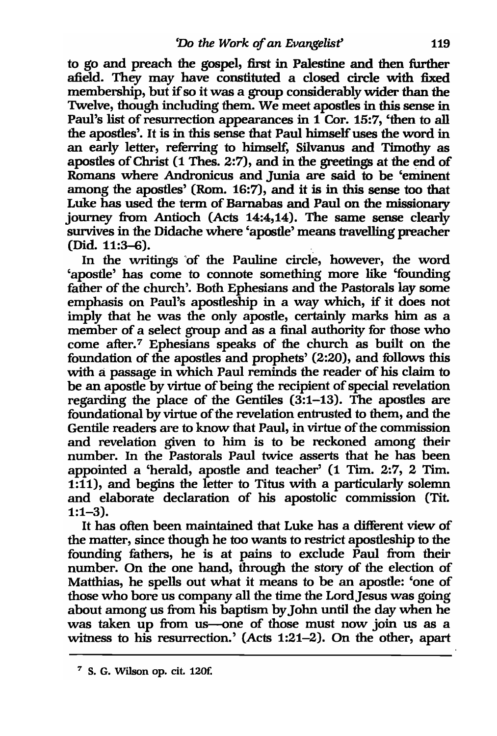to go and preach the gospel, first in Palestine and then further afield. They may have constituted a closed circle with fixed membership, but if so it was a group considerably wider than the Twelve, though including them. We meet apostles in this sense in Paul's list of resurrection appearances in 1 Cor. 15:7, 'then to all the apostles'. It is in this sense that Paul himself uses the word in an early letter, referring to himself, Silvanus and Timothy as apostles of Christ (1 Thes. 2:7), and in the greetings at the end of Romans where Andronicus and Junia are said to be 'eminent among the apostles' (Rom. 16:7), and it is in this sense too that Luke has used the term of Barnabas and Paul on the missionary journey from Antioch (Acts 14:4,14). The same sense clearly survives in the Didache where 'apostle' means travelling preacher  $(Did. 11:3–6).$ 

In the writings 'of the Pauline circle, however, the word 'apostle' has come to connote something more like 'founding father of the church'. Both Ephesians and the Pastorals lay some emphasis on Paul's apostleship in a way which, if it does not imply that he was the only apostle, certainly marks him as a member of a select group and as a final authority for those who come after.<sup>7</sup> Ephesians speaks of the church as built on the foundation of the apostles and prophets' (2:20), and follows this with a passage in which Paul reminds the reader of his claim to be an apostle by virtue of being the recipient of special revelation regarding the place of the Gentiles (3:1-13). The apostles are foundational by virtue of the revelation entrusted to them, and the Gentile readers are to know that Paul, in virtue of the commission and revelation given to him is to be reckoned among their number. In the Pastorals Paul twice asserts that he has been appointed a 'herald, apostle and teacher' (1 Tim. 2:7, 2 Tim. 1:11), and begins the letter to Titus with a particularly solemn and elaborate declaration of his apostolic commission (Tit. 1:1-3).

It has often been maintained that Luke has a different view of the matter, since though he too wants to restrict apostleship to the founding fathers, he is at pains to exclude Paul from their number. On the one hand, through the story of the election of Matthias, he spells out what it means to be an apostle: 'one of those who bore us company all the time the Lord Jesus was going about among us from his baptism by John until the day when he was taken up from us--one of those must now join us as a witness to his resurrection.' (Acts 1:21-2). On the other, apart

 $<sup>7</sup>$  S. G. Wilson op. cit. 120f.</sup>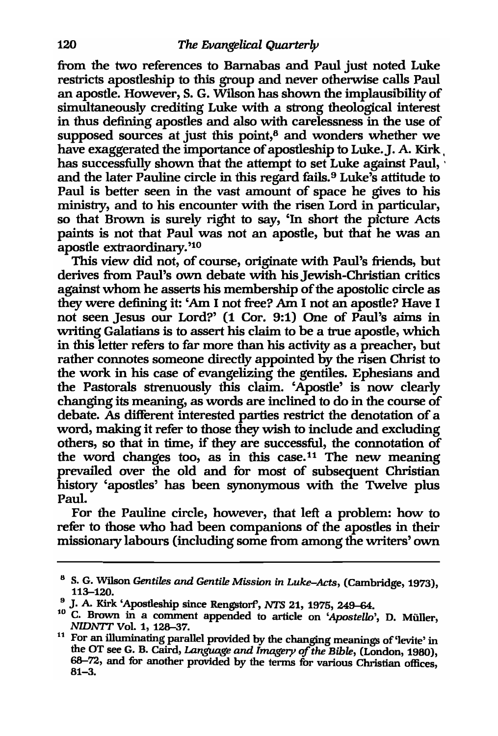from the two references to Barnabas and Paul just noted Luke restricts apostleship to this group and never otherwise calls Paul an apostle. However, S. G. Wilson has shown the implausibility of simultaneously crediting Luke with a strong theological interest in thus defining apostles and also with carelessness in the use of supposed sources at just this point, $\delta$  and wonders whether we have exaggerated the importance of apostleship to Luke. J. A. Kirk has successfully shown that the attempt to set Luke against Paul, and the later Pauline circle in this regard fails.<sup>9</sup> Luke's attitude to Paul is better seen in the vast amount of space he gives to his ministry, and to his encounter with the risen Lord in particular, so that Brown is surely right to say, 'In short the picture Acts paints is not that Paul was not an apostle, but that he was an apostle extraordinary. '10

This view did not, of course, originate with Paul's friends, but derives from Paul's own debate with his Jewish-Christian critics against whom he asserts his membership of the apostolic circle as they were defining it: 'Am I not free? Am I not an apostle? Have I not seen Jesus our Lord?' (1 Cor. 9:1) One of Paul's aims in writing Galatians is to assert his claim to be a true apostle, which in this letter refers to far more than his activity as a preacher, but rather connotes someone directly appointed by the risen Christ to the work in his case of evangelizing the gentiles. Ephesians and the Pastorals strenuously this claim. 'Apostle' is now clearly changing its meaning, as words are inclined to do in the course of debate. As different interested parties restrict the denotation of a word, making it refer to those they wish to include and excluding others, so that in time, if they are successful, the connotation of the word changes too, as in this case.<sup>11</sup> The new meaning prevailed over the old and for most of subsequent Christian history 'apostles' has been synonymous with the Twelve plus Paul.

For the Pauline circle, however, that left a problem: how to refer to those who had been companions of the apostles in their missionary labours (including some from among the writers' own

<sup>8</sup> S. G. Wilson *Gentiles and Gentile Mission in Luke-Acts,* (Cambridge, 1973), 113-120.

<sup>&</sup>lt;sup>9</sup> J. A. Kirk 'Apostleship since Rengstorf', *NTS* 21, 1975, 249-64.

<sup>&</sup>lt;sup>10</sup> C. Brown in a comment appended to article on 'Apostello', D. Müller, *NIDNTT* Vol. 1, 128-37.

<sup>&</sup>lt;sup>11</sup> For an illuminating parallel provided by the changing meanings of 'levite' in the OT see G. B. Caird, *Language and Imagery* of *the Bible,* (London, 1980), 68-72, and for another provided by the terms for various Christian offices 81-3. '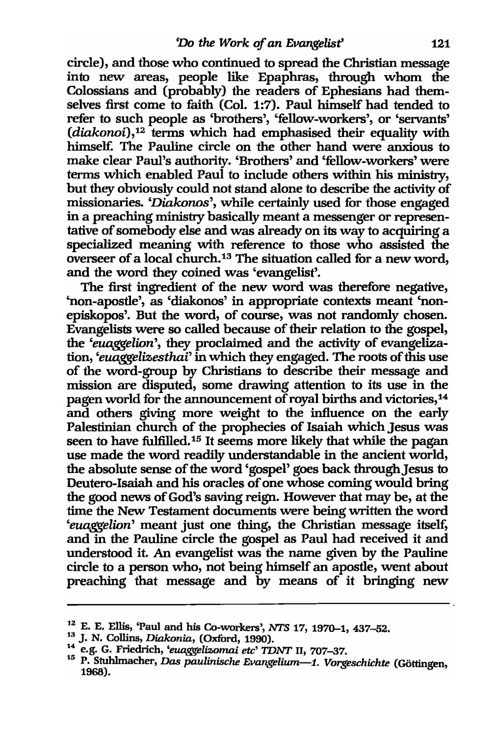circle), and those who continued to spread the Christian message into new areas, people like Epaphras, through whom the Colossians and (probably) the readers of Ephesians had themselves first come to faith (Col. 1:7). Paul himself had tended to refer to such people as 'brothers', 'fellow-workers', or 'servants' *(diakonoi),12* terms which had emphasised their equality with himself. The Pauline circle on the other hand were anxious to make clear Paul's authority. 'Brothers' and 'fellow-workers' were terms which enabled Paul to include others within his ministry, but they obviously could not stand alone to describe the activity of missionaries. *'Diakonos',* while certainly used for those engaged in a preaching ministry basically meant a messenger or representative of somebody else and was already on its way to acquiring a specialized meaning with reference to those who assisted the overseer of a local church.13 The situation called for a new word, and the word they coined was 'evangelist'.

The first ingredient of the new word was therefore negative, 'non-apostle', as 'diakonos' in appropriate contexts meant 'nonepiskopos'. But the word, of course, was not randomly chosen. Evangelists were so called because of their relation to the gospel, the *'euaggelion',* they proclaimed and the activity of evangelization, *'euaggelizesthai'* in which they engaged. The roots of this use of the word-group by Christians to describe their message and mission are disputed, some drawing attention to its use in the pagen world for the announcement of royal births and victories,14 and others giving more weight to the influence on the early Palestinian church of the prophecies of Isaiah which Jesus was seen to have fulfilled.<sup>15</sup> It seems more likely that while the pagan use made the word readily understandable in the ancient world, the absolute sense of the word 'gospel' goes back through Jesus to Deutero-Isaiah and his oracles of one whose coming would bring the good news of God's saving reign. However that may be, at the time the New Testament documents were being written the word *'euaggelion'* meant just one thing, the Christian message itself, and in the Pauline circle the gospel as Paul had received it and understood it. An evangelist was the name given by the Pauline circle to a person who, not being himself an apostle, went about preaching that message and by means of it bringing new

<sup>1~</sup> E. E. Ellis, 'Paul and his Co-workers', *NTS* 17, 1970-1,437-52.

<sup>U</sup>J. N. Collins, *Diakonia,* (Oxford, 1990).

<sup>14</sup> e.g. G. Friedrich, *'euaggelizomai etc' TDNT* 11, 707-37.

<sup>&</sup>lt;sup>15</sup> P. Stuhlmacher, *Das paulinische Evangelium*—1. Vorgeschichte (Göttingen, 1968).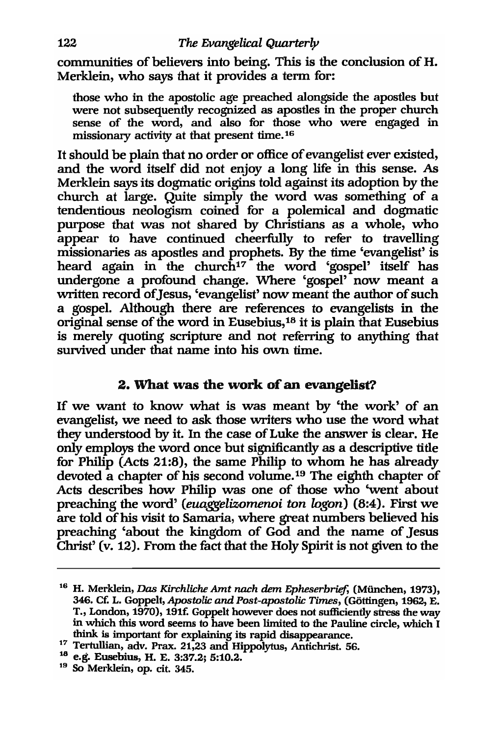communities of believers into being. This is the conclusion of H. Merklein, who says that it provides a term for:

those who in the apostolic age preached alongside the apostles but were not subsequently recognized as apostles in the proper church sense of the word, and also for those who were engaged in missionary activity at that present time. <sup>16</sup>

It should be plain that no order or office of evangelist ever existed, and the word itself did not enjoy a long life in this sense. As Merklein says its dogmatic origins told against its adoption by the church at large. Quite simply the word was something of a tendentious neologism coined for a polemical and dogmatic purpose that was not shared by Christians as a whole, who appear to have continued cheerfully to refer to travelling missionaries as apostles and prophets. By the time 'evangelist' is heard again in the church<sup>17</sup> the word 'gospel' itself has undergone a profound change. Where 'gospel' now meant a written record of Jesus, 'evangelist' now meant the author of such a gospel. Although there are references to evangelists in the original sense of the word in Eusebius,18 it is plain that Eusebius is merely quoting scripture and not referring to anything that survived under that name into his own time.

## 2. What was the work of an evangelist?

If we want to know what is was meant by 'the work' of an evangelist, we need to ask those writers who use the word what they understood by it. In the case of Luke the answer is clear. He only employs the word once but significantly as a descriptive title for Philip (Acts 21:8), the same Philip to whom he has already devoted a chapter of his second volume.19 The eighth chapter of Acts describes how Philip was one of those who 'went about preaching the word' *(euaggelizomenoi ton logon)* (8:4). First we are told of his visit to Samaria, where great numbers believed his preaching 'about the kingdom of God and the name of Jesus Christ' (v. 12). From the fact that the Holy Spirit is not given to the

<sup>16</sup> H. Merklein, *Vas Kirchliche* Amt *nach* dem *Epheserbrief,* (Miinchen, 1973), 346. Ct: L. Goppelt, *Apostolic and Post-apostolic Times,* (Gottingen, 1962, E. T., London, 1970), 191f. Goppelt however does not sufficiently stress the way in which this word seems to have been limited to the Pauline circle, which I think is important for explaining its rapid disappearance.

<sup>17</sup> Tertullian, adv. Prax. 21,23 and Hippolytus, Antichrist. 56.

<sup>18</sup> e.g. Eusebius, H. E. 3:37.2; 5:10.2.

<sup>19</sup> So Merklein, op. cit. 345.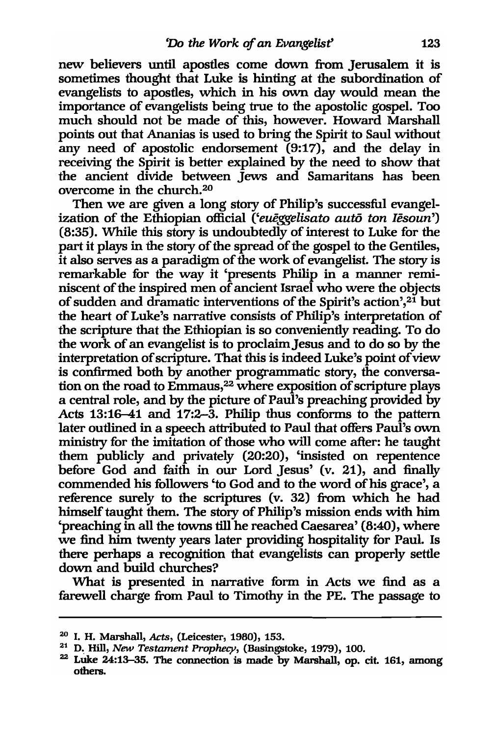new believers until apostles come down from Jerusalem it is sometimes thought that Luke is hinting at the subordination of evangelists to apostles, which in his own day would mean the importance of evangelists being true to the apostolic gospel. Too much should not be made of this, however. Howard Marshall points out that Ananias is used to bring the Spirit to Saul without any need of apostolic endorsement  $(9:17)$ , and the delay in receiving the Spirit is better explained by the need to show that the ancient divide between Jews and Samaritans has been overcome in the church.20

Then we are given a long story of Philip's successful evangelization of the Ethiopian official ('eueggelisato auto ton Iesoun') (8:35). While this story is undoubtedly of interest to Luke for the part it plays in the story of the spread of the gospel to the Gentiles, it also serves as a paradigm of the work of evangelist. The story is remarkable for the way it 'presents Philip in a manner reminiscent of the inspired men of ancient Israel who were the objects of sudden and dramatic interventions of the Spirit's action',21 but the heart of Luke's narrative consists of Philip's interpretation of the scripture that the Ethiopian is so conveniently reading. To do the work of an evangelist is to proclaim Jesus and to do so by the interpretation of scripture. That this is indeed Luke's point of view is corifirmed both by another programmatic story, the conversation on the road to Emmaus,22 where exposition of scripture plays a central role, and by the picture of Paul's preaching provided by Acts 13:16-41 and 17:2-3. Philip thus conforms to the pattern later outlined in a speech attributed to Paul that offers Paul's own ministry for the imitation of those who will come after: he taught them publicly and privately (20:20), 'insisted on repentence before God and faith in our Lord Jesus' (v. 21), and finally commended his followers 'to God and to the word of his grace', a reference surely to the scriptures (v. 32) from which he had himself taught them. The story of Philip's mission ends with him 'preaching in all the towns till he reached Caesarea' (8:40), where we find him twenty years later providing hospitality for Paul. Is there perhaps a recognition that evangelists can properly settle down and build churches?

'What is presented in narrative form in Acts we find as a farewell charge from Paul to Timothy in the PE. The passage to

<sup>20</sup> I. H. Marshall, *Acts,* (Leicester, 1980), 153.

<sup>21</sup> D, Hill, *New Testament Prophecy,* (Basingstoke, 1979), 100.

<sup>&</sup>lt;sup>22</sup> Luke 24:13-35. The connection is made by Marshall, op. cit. 161, among others.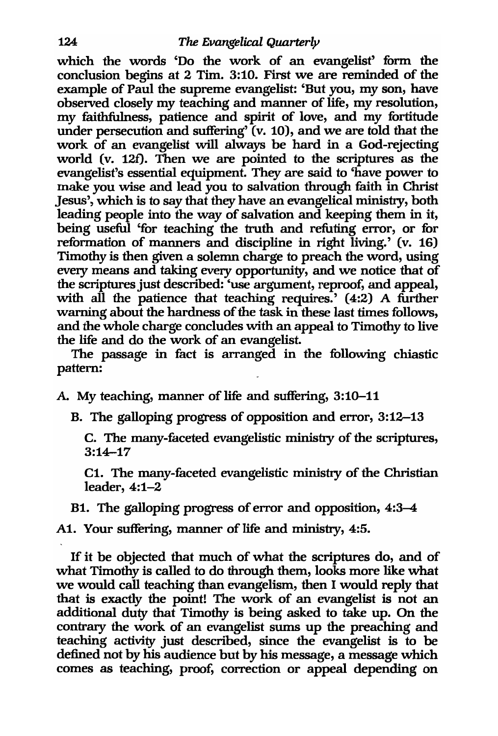which the words 'Do the work of an evangelist' form the conclusion begins at 2 Tim. 3:10. First we are reminded of the example of Paul the supreme evangelist: 'But you, my son, have observed closely my teaching and manner of life, my resolution, my faithfulness, patience and spirit of love, and my fortitude under persecution and suffering' (v. 10), and we are told that the work of an evangelist will always be hard in a God-rejecting world (v. 12f). Then we are pointed to the scriptures as the evangelist's essential equipment. They are said to 'have power to make you wise and lead you to salvation through faith in Christ Jesus', which is to say that they have an evangelical ministry, both leading people into the way of salvation and keeping them in it, being useful 'for teaching the truth and refuting error, or for reformation of manners and discipline in right living.' (v. 16) Timothy is then given a solemn charge to preach the word, using every means and taking every opportunity, and we notice that of the scriptures just described: 'use argument, reproof, and appeal, with all the patience that teaching requires.' (4:2) A further warning about the hardness of the task in these last times follows, and the whole charge concludes with an appeal to Timothy to live the life and do the work of an evangelist.

The passage in fact is arranged in the following chiastic pattern:

A. My teaching, manner of life and suffering, 3:10-11

B. The galloping progress of opposition and error, 3:12-13

C. The many-faceted evangelistic ministry of the scriptures, 3:14-17

Cl. The many-faceted evangelistic ministry of the Christian leader, 4:1-2

Bt. The galloping progress of error and opposition, 4:3-4

Al. Your suffering, manner of life and ministry, 4:5.

If it be objected that much of what the scriptures do, and of what Timothy is called to do through them, looks more like what we would call teaching than evangelism, then I would reply that that is exactly the point! The work of an evangelist is not an additional duty that Timothy is being asked to take up. On the contrary the work of an evangelist sums up the preaching and teaching activity just described, since the evangelist is to be defined not by his audience but by his message, a message which comes as teaching, proof, correction or appeal depending on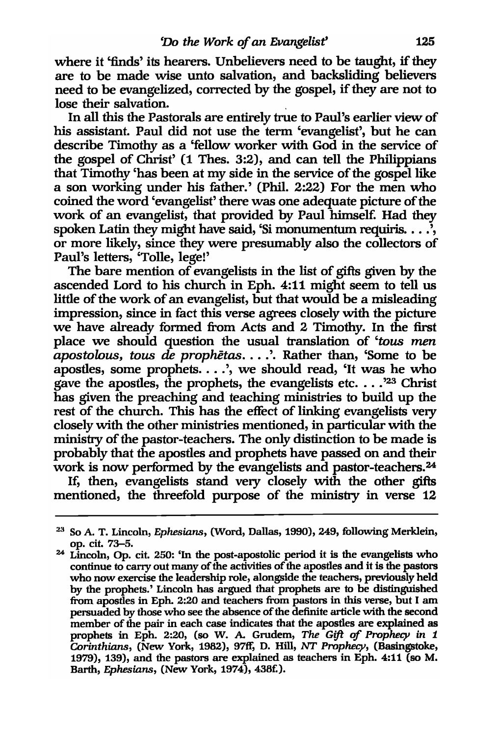where it 'finds' its hearers. Unbelievers need to be taught, if they are to be made wise unto salvation, and backsliding believers need to be evangelized, corrected by the gospel, if they are not to lose their salvation.

In all this the Pastorals are entirely true to Paul's earlier view of his assistant. Paul did not use the term 'evangelist', but he can describe Timothy as a 'fellow worker with God in the service of the gospel of Christ' (1 Thes. 3:2), and can tell the Philippians that Timothy 'has been at my side in the service of the gospel like a son working under his father.' (Phil. 2:22) For the men who coined the word 'evangelist' there was one adequate picture of the work of an evangelist, that provided by Paul himself. Had they spoken Latin they might have said, 'Si monumentum requiris.  $\ldots$ ', or more likely, since they were presumably also the collectors of Paul's letters, 'Tolle, lege!'

The bare mention of evangelists in the list of gifts given by the ascended Lord to his church in Eph. 4:11 might seem to tell us little of the work of an evangelist, but that would be a misleading impression, since in fact this verse agrees closely with the picture we have already formed from Acts and 2 Timothy. In the first place we should question the usual translation of *'tous men apostolnus, tous de prophetas .* ... '. Rather than, 'Some to be apostles, some prophets....', we should read, 'It was he who gave the apostles, the prophets, the evangelists etc.  $\ldots$ <sup>23</sup> Christ has given the preaching and teaching ministries to build up the rest of the church. This has the effect of linking evangelists very closely with the other ministries mentioned, in particular with the ministry of the pastor-teachers. The only distinction to be made is probably that the apostles and prophets have passed on and their work is now performed by the evangelists and pastor-teachers.<sup>24</sup>

If, then, evangelists stand very closely with the other gifts mentioned, the threefold purpose of the ministry in verse 12

<sup>&</sup>lt;sup>23</sup> So A. T. Lincoln, *Ephesians*, (Word, Dallas, 1990), 249, following Merklein, op. cit. 73-5.

<sup>24</sup> Lincoln, Op. cit. 250: 'In the post-apostolic period it is the evangelists who continue to cany out many of the activities of the apostles and it is the pastors who now exercise the leadership role, alongside the teachers, previously held by the prophets.' Lincoln has argued that prophets are to be distinguished from apostles in Eph. 2:20 and teachers from pastors in this verse, but I am persuaded by those who see the absence of the definite article with the second member of the pair in each case indicates that the apostles are explained as prophets in Eph. 2:20, (so W. A. Grudem, *The Gift* of *Prophecy in 1 Corinthians,* (New York, 1982), 97ft; D. Hill, *NT Prophecy,* (Basingstoke, 1979), 139), and the pastors are explained as teachers in Eph. 4:11 (so M. Barth, *Ephesians,* (New York, 1974), 438£).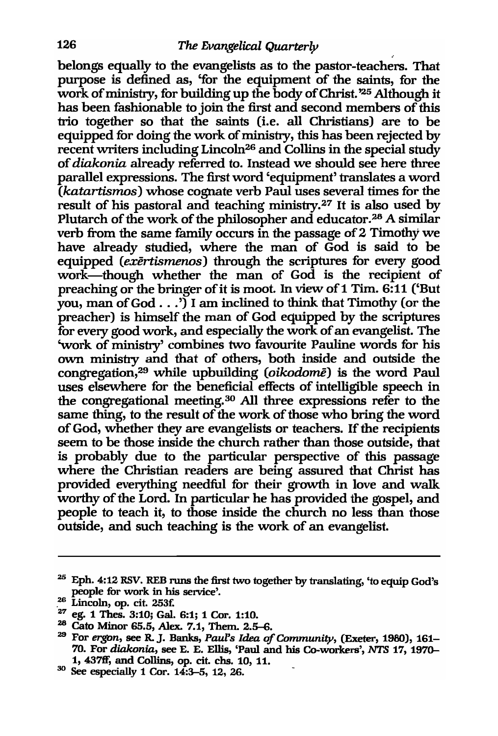belongs equally to the evangelists as to the pastor-teachers. That purpose is defined as, 'for the equipment of the saints, for the work of ministry, for building up the body of Christ. '25 Although it has been fashionable to join the first and second members of this trio together so that the saints (i.e. all Christians) are to be equipped for doing the work of ministry, this has been rejected by recent writers including Lincoln26 and Collins in the special study of *diakonia* already referred to. Instead we should see here three parallel expressions. The first word 'equipment' translates a word *(katartismos)* whose cognate verb Paul uses several times for the result of his pastoral and teaching ministry.27 It is also used by Plutarch of the work of the philosopher and educator.<sup>28</sup> A similar verb from the same family occurs in the passage of 2 Timothy we have already studied, where the man of God is said to be equipped *(exertismenos)* through the scriptures for *every* good work-though whether the man of God is the recipient of preaching or the bringer of it is moot. In view of 1 Tim. 6:11 ('But you, man of God  $\ldots$ ...<sup>7</sup> I am inclined to think that Timothy (or the preacher) is himself the man of God equipped by the scriptures for *every* good work, and especially the work of an evangelist. The 'work of ministry' combines two favourite Pauline words for his own ministry and that of others, both inside and outside the congregation,29 while upbuilding *(oikodome)* is the word Paul uses elsewhere for the beneficial effects of intelligible speech in the congregational meeting.30 All three expressions refer to the same thing, to the result of the work of those who bring the word of God, whether they are evangelists or teachers. If the recipients seem to be those inside the church rather than those outside, that is probably due to the particular perspective of this passage where the Christian readers are being assured that Christ has provided everything needful for their growth in love and walk worthy of the Lord. In particular he has provided the gospel, and people to teach it, to those inside the church no less than those outside, and such teaching is the work of an evangelist.

<sup>&</sup>lt;sup>25</sup> Eph. 4:12 RSV. REB runs the first two together by translating, 'to equip God's people for work in his service'.<br><sup>26</sup> Lincoln, op. cit. 253f.

<sup>&</sup>lt;sup>27</sup> eg. 1 Thes. 3:10; Gal. 6:1; 1 Cor. 1:10.

<sup>&</sup>lt;sup>28</sup> Cato Minor 65.5, Alex. 7.1, Them. 2.5-6.

<sup>&</sup>lt;sup>29</sup> For ergon, see R. J. Banks, *Paul's Idea of Community*, (Exeter, 1980), 161-70. For *diakonia,* see E. E. Ellis, 'Paul and his Co-workers', *NTS* 17, 1970-

 $30$  See especially 1 Cor. 14:3-5, 12, 26.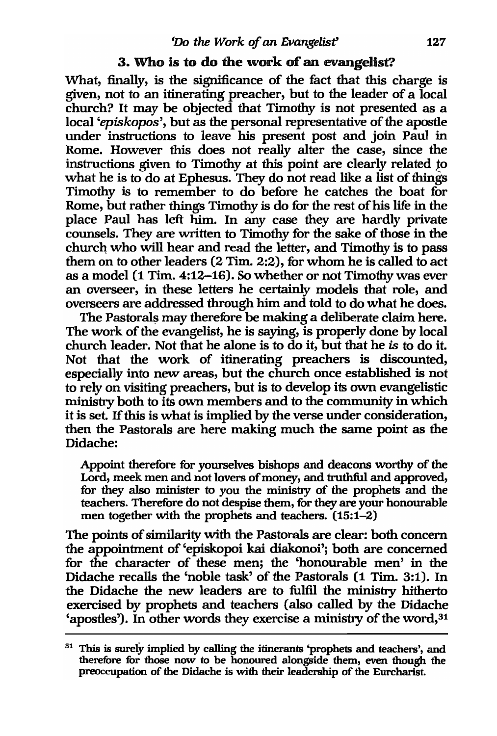## 3. Who is to do the work of an evangelist?

What, finally, is the significance of the fact that this charge is given, not to an itinerating preacher, but to the leader of a local church? It may be objected that Timothy is not presented as a local *'episkopos',* but as the personal representative of the apostle under instructions to leave his present post and join Paul in Rome. However this does not really alter the case, since the instructions given to Timothy at this point are clearly related *to*  what he is to do at Ephesus. They do not read like a list of things Timothy is to remember to do before he catches the boat for Rome, but rather things Timothy is do for the rest of his life in the place Paul has left him. In any case they are hardly private counsels. They are written to Timothy for the sake of those in the church: who will hear and read the letter, and Timothy is to pass them on to other leaders (2 Tim. 2:2), for whom he is called to act as a model (1 Tim. 4:12-16). So whether or not Timothy was ever an overseer, in these letters he certainly models that role, and overseers are addressed through him and told to do what he does.

The Pastorals may therefore be making a deliberate claim here. The work of the evangelist, he is saying, is properly done by local church leader. Not that he alone is to do it, but that he *is* to do it. Not that the work of itinerating preachers is discounted, especially into new areas, but the church once established is not to rely on visiting preachers, but is to develop its own evangelistic ministry both to its own members and to the community in which it is set. If this is what is implied by the verse under consideration, then the Pastorals are here making much the same point as the Didache:

Appoint therefore for yourselves bishops and deacons worthy of the Lord, meek men and not lovers of money, and truthful and approved, for they also minister to you the ministry of the prophets and the teachers. Therefore do not despise them, for they are your honourable men together with the prophets and teachers. (15:1-2)

The points of similarity with the Pastorals are clear: both concern the appointment of 'episkopoi kai diakonoi'j both are concerned for the character of these men; the 'honourable men' in the Didache recalls the 'noble task' of the Pastorals (1 Tim. 3:1). In the Didache the new leaders are to fulfil the ministry hitherto exercised by prophets and teachers (also called by the Didache 'apostles'). In other words they exercise a ministry of the word, 31

 $31$  This is surely implied by calling the itinerants 'prophets and teachers', and therefore for those now to be honoured alongside them, even though the preoccupation of the Didache is with their leadership of the Eurcharist.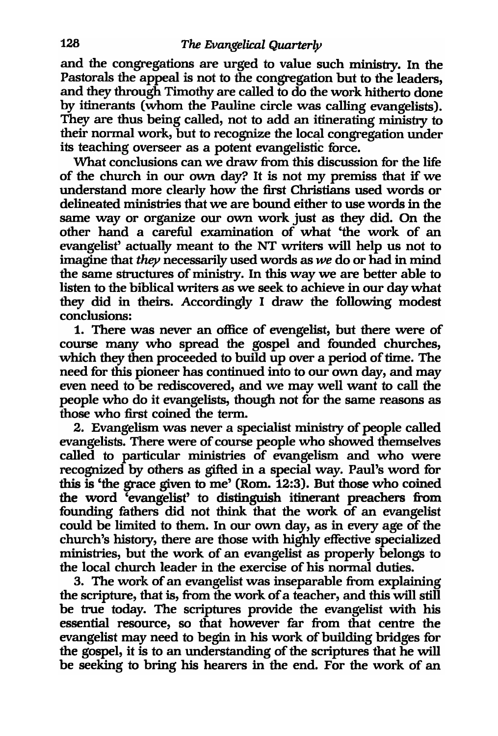and the congregations are urged to value such ministry. In the Pastorals the appeal is not to the congregation but to the leaders, and they through Timothy are called to do the work hitherto done by itinerants (whom the Pauline circle was calling evangelists). They are thus being called, not to add an itinerating ministry to their normal work, but to recognize the local congregation under its teaching overseer as a potent evangelistic force.

What conclusions can we draw from this discussion for the life of the church in our own day? It is not my premiss that if we understand more clearly how the first Christians used words or delineated ministries that we are bound either to use words in the same way or organize our own work just as they did. On the other hand a careful examination of what 'the work of an evangelist' actually meant to the NT writers will heip us not to imagine that *they* necessarily used words as *we* do or had in mind the same structures of ministry. In this way we are better able to listen to the biblical writers as we seek to achieve in our day what they did in theirs. Accordingly I draw the following modest conclusions:

1. There was never an office of evengelist, but there were of course many who spread the gospel and founded churches, which they then proceeded to build up over a period of time. The need for this pioneer has continued into to our own day, and may even need to be rediscovered, and we may well want to call the people who do it evangelists, though not for the same reasons as those who first coined the term.

2. Evangelism was never a specialist ministry of people called evangelists. There were of course people who showed themselves called to particular ministries of evangelism and who were recognized by others as gifted in a special way. Paul's word for this is 'the grace given to me' (Rom. 12:3). But those who coined the word 'evangelist' to distinguish itinerant preachers from founding fathers did not think that the work of an evangelist could be limited to them. In our own day, as in every age of the church's history, there are those with highly effective specialized ministries, but the work of an evangelist as properly belongs to the local church leader in the exercise of his normal duties.

3. The work of an evangelist was inseparable from explaining the scripture, that is, from the work of a teacher, and this will still be true today. The scriptures provide the evangelist with his essential resource, so that however far from that centre the evangelist may need to begin in his work of building bridges for the gospel, it is to an understanding of the scriptures that he will be seeking to bring his hearers in the end. For the work of an